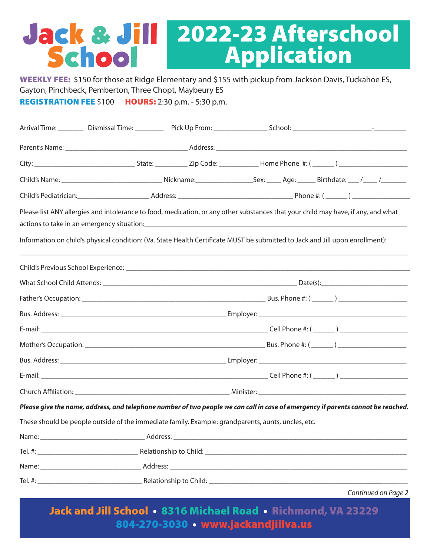# Jack & Jill 2022-23 Afterschool School Application

WEEKLY FEE: \$150 for those at Ridge Elementary and \$155 with pickup from Jackson Davis, Tuckahoe ES, Gayton, Pinchbeck, Pemberton, Three Chopt, Maybeury ES REGISTRATION FEE \$100 HOURS: 2:30 p.m. - 5:30 p.m.

|       | Child's Name: ___________________________________Nickname: _____________________Sex: ______Age: ______Birthdate: ___ /_____/___________ |  |  |  |                     |  |
|-------|-----------------------------------------------------------------------------------------------------------------------------------------|--|--|--|---------------------|--|
|       |                                                                                                                                         |  |  |  |                     |  |
|       | Please list ANY allergies and intolerance to food, medication, or any other substances that your child may have, if any, and what       |  |  |  |                     |  |
|       |                                                                                                                                         |  |  |  |                     |  |
|       | Information on child's physical condition: (Va. State Health Certificate MUST be submitted to Jack and Jill upon enrollment):           |  |  |  |                     |  |
|       |                                                                                                                                         |  |  |  |                     |  |
|       |                                                                                                                                         |  |  |  |                     |  |
|       |                                                                                                                                         |  |  |  |                     |  |
|       |                                                                                                                                         |  |  |  |                     |  |
|       |                                                                                                                                         |  |  |  |                     |  |
|       |                                                                                                                                         |  |  |  |                     |  |
|       |                                                                                                                                         |  |  |  |                     |  |
|       |                                                                                                                                         |  |  |  |                     |  |
|       |                                                                                                                                         |  |  |  |                     |  |
|       | Please give the name, address, and telephone number of two people we can call in case of emergency if parents cannot be reached.        |  |  |  |                     |  |
|       | These should be people outside of the immediate family. Example: grandparents, aunts, uncles, etc.                                      |  |  |  |                     |  |
| Name: |                                                                                                                                         |  |  |  |                     |  |
|       |                                                                                                                                         |  |  |  |                     |  |
|       |                                                                                                                                         |  |  |  |                     |  |
|       |                                                                                                                                         |  |  |  |                     |  |
|       |                                                                                                                                         |  |  |  | Continued on Page 2 |  |

Jack and Jill School • 8316 Michael Road • Richmond, VA 23229 804-270-3030 • www.jackandjillva.us